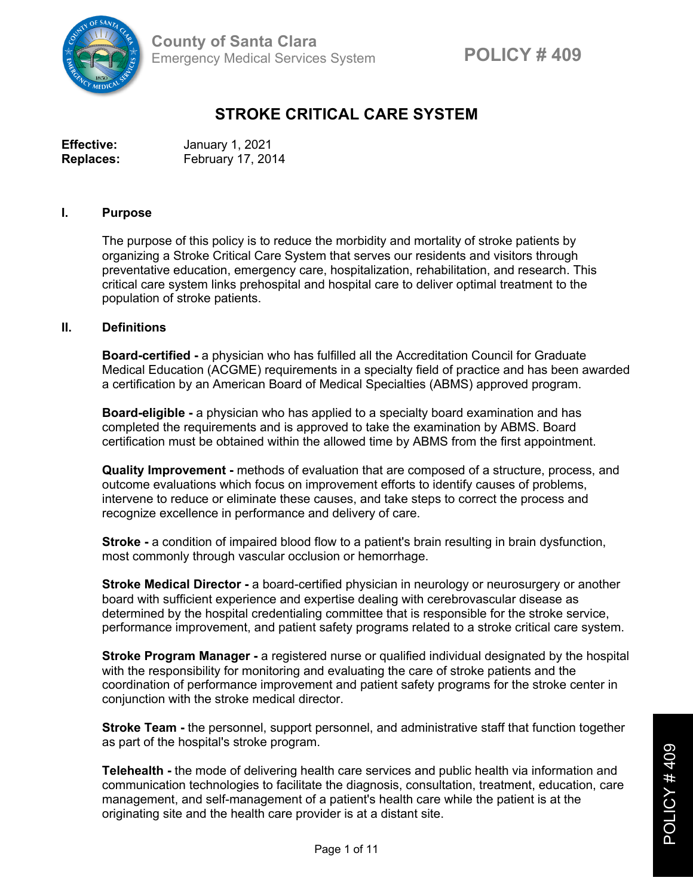

# **STROKE CRITICAL CARE SYSTEM**

| <b>Effective:</b> | January 1, 2021   |
|-------------------|-------------------|
| <b>Replaces:</b>  | February 17, 2014 |

#### **I. Purpose**

The purpose of this policy is to reduce the morbidity and mortality of stroke patients by organizing a Stroke Critical Care System that serves our residents and visitors through preventative education, emergency care, hospitalization, rehabilitation, and research. This critical care system links prehospital and hospital care to deliver optimal treatment to the population of stroke patients.

#### **II. Definitions**

**Board-certified -** a physician who has fulfilled all the Accreditation Council for Graduate Medical Education (ACGME) requirements in a specialty field of practice and has been awarded a certification by an American Board of Medical Specialties (ABMS) approved program.

**Board-eligible -** a physician who has applied to a specialty board examination and has completed the requirements and is approved to take the examination by ABMS. Board certification must be obtained within the allowed time by ABMS from the first appointment.

**Quality Improvement -** methods of evaluation that are composed of a structure, process, and outcome evaluations which focus on improvement efforts to identify causes of problems, intervene to reduce or eliminate these causes, and take steps to correct the process and recognize excellence in performance and delivery of care.

**Stroke -** a condition of impaired blood flow to a patient's brain resulting in brain dysfunction, most commonly through vascular occlusion or hemorrhage.

**Stroke Medical Director -** a board-certified physician in neurology or neurosurgery or another board with sufficient experience and expertise dealing with cerebrovascular disease as determined by the hospital credentialing committee that is responsible for the stroke service, performance improvement, and patient safety programs related to a stroke critical care system.

**Stroke Program Manager -** a registered nurse or qualified individual designated by the hospital with the responsibility for monitoring and evaluating the care of stroke patients and the coordination of performance improvement and patient safety programs for the stroke center in conjunction with the stroke medical director.

**Stroke Team -** the personnel, support personnel, and administrative staff that function together as part of the hospital's stroke program.

**Telehealth -** the mode of delivering health care services and public health via information and communication technologies to facilitate the diagnosis, consultation, treatment, education, care management, and self-management of a patient's health care while the patient is at the originating site and the health care provider is at a distant site.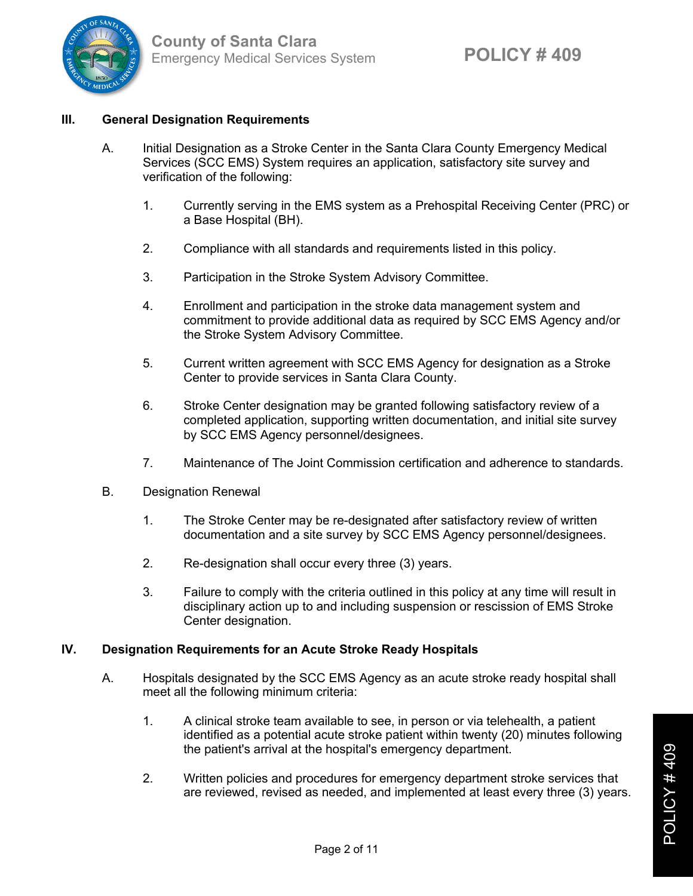

# **III. General Designation Requirements**

- A. Initial Designation as a Stroke Center in the Santa Clara County Emergency Medical Services (SCC EMS) System requires an application, satisfactory site survey and verification of the following:
	- 1. Currently serving in the EMS system as a Prehospital Receiving Center (PRC) or a Base Hospital (BH).
	- 2. Compliance with all standards and requirements listed in this policy.
	- 3. Participation in the Stroke System Advisory Committee.
	- 4. Enrollment and participation in the stroke data management system and commitment to provide additional data as required by SCC EMS Agency and/or the Stroke System Advisory Committee.
	- 5. Current written agreement with SCC EMS Agency for designation as a Stroke Center to provide services in Santa Clara County.
	- 6. Stroke Center designation may be granted following satisfactory review of a completed application, supporting written documentation, and initial site survey by SCC EMS Agency personnel/designees.
	- 7. Maintenance of The Joint Commission certification and adherence to standards.
- B. Designation Renewal
	- 1. The Stroke Center may be re-designated after satisfactory review of written documentation and a site survey by SCC EMS Agency personnel/designees.
	- 2. Re-designation shall occur every three (3) years.
	- 3. Failure to comply with the criteria outlined in this policy at any time will result in disciplinary action up to and including suspension or rescission of EMS Stroke Center designation.

#### **IV. Designation Requirements for an Acute Stroke Ready Hospitals**

- A. Hospitals designated by the SCC EMS Agency as an acute stroke ready hospital shall meet all the following minimum criteria:
	- 1. A clinical stroke team available to see, in person or via telehealth, a patient identified as a potential acute stroke patient within twenty (20) minutes following the patient's arrival at the hospital's emergency department.
	- 2. Written policies and procedures for emergency department stroke services that are reviewed, revised as needed, and implemented at least every three (3) years.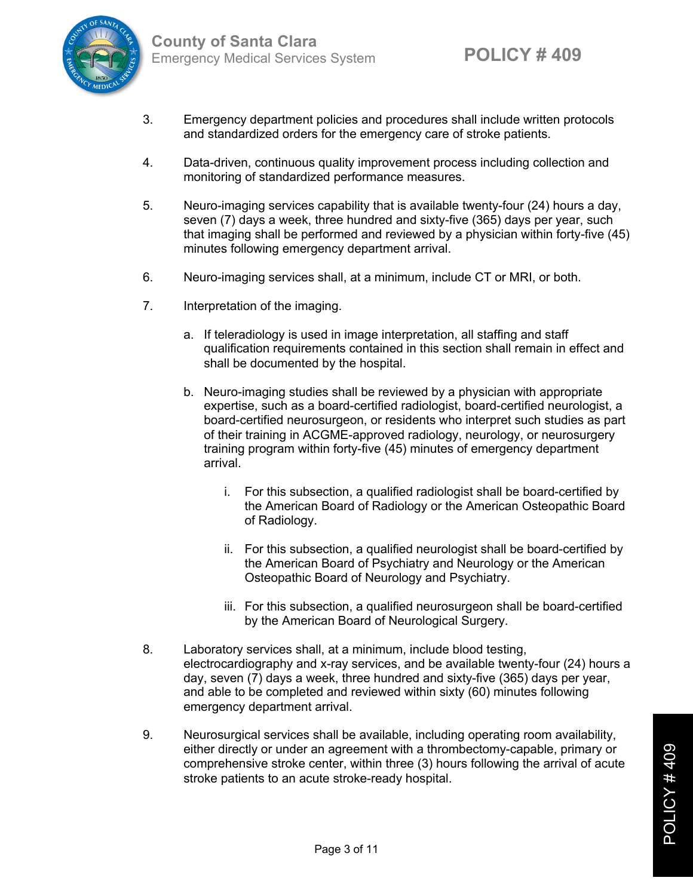

- 3. Emergency department policies and procedures shall include written protocols and standardized orders for the emergency care of stroke patients.
- 4. Data-driven, continuous quality improvement process including collection and monitoring of standardized performance measures.
- 5. Neuro-imaging services capability that is available twenty-four (24) hours a day, seven (7) days a week, three hundred and sixty-five (365) days per year, such that imaging shall be performed and reviewed by a physician within forty-five (45) minutes following emergency department arrival.
- 6. Neuro-imaging services shall, at a minimum, include CT or MRI, or both.
- 7. Interpretation of the imaging.
	- a. If teleradiology is used in image interpretation, all staffing and staff qualification requirements contained in this section shall remain in effect and shall be documented by the hospital.
	- b. Neuro-imaging studies shall be reviewed by a physician with appropriate expertise, such as a board-certified radiologist, board-certified neurologist, a board-certified neurosurgeon, or residents who interpret such studies as part of their training in ACGME-approved radiology, neurology, or neurosurgery training program within forty-five (45) minutes of emergency department arrival.
		- i. For this subsection, a qualified radiologist shall be board-certified by the American Board of Radiology or the American Osteopathic Board of Radiology.
		- ii. For this subsection, a qualified neurologist shall be board-certified by the American Board of Psychiatry and Neurology or the American Osteopathic Board of Neurology and Psychiatry.
		- iii. For this subsection, a qualified neurosurgeon shall be board-certified by the American Board of Neurological Surgery.
- 8. Laboratory services shall, at a minimum, include blood testing, electrocardiography and x-ray services, and be available twenty-four (24) hours a day, seven (7) days a week, three hundred and sixty-five (365) days per year, and able to be completed and reviewed within sixty (60) minutes following emergency department arrival.
- 9. Neurosurgical services shall be available, including operating room availability, either directly or under an agreement with a thrombectomy-capable, primary or comprehensive stroke center, within three (3) hours following the arrival of acute stroke patients to an acute stroke-ready hospital.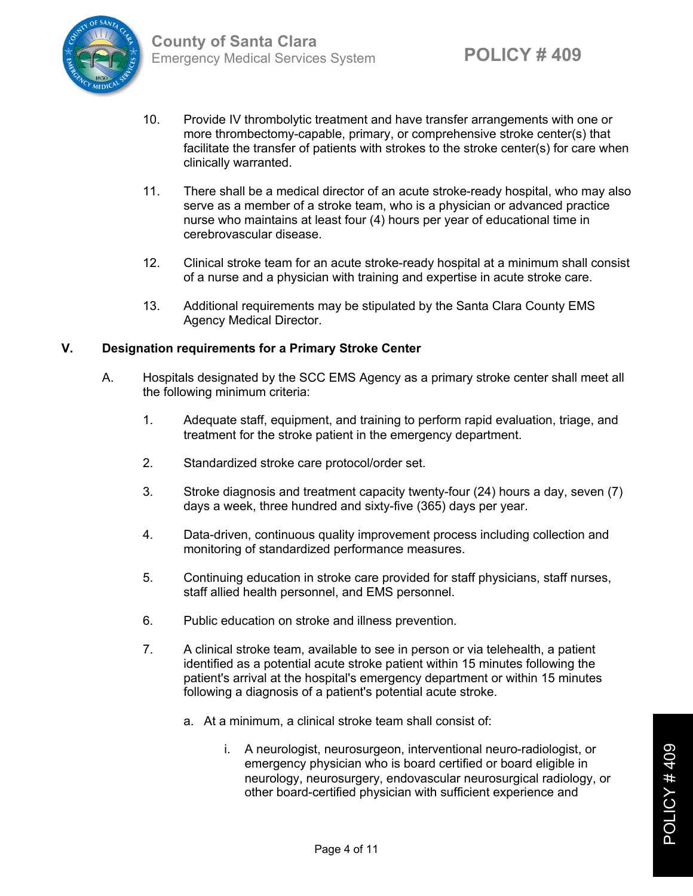

- 10. Provide IV thrombolytic treatment and have transfer arrangements with one or more thrombectomy-capable, primary, or comprehensive stroke center(s) that facilitate the transfer of patients with strokes to the stroke center(s) for care when clinically warranted.
- 11. There shall be a medical director of an acute stroke-ready hospital, who may also serve as a member of a stroke team, who is a physician or advanced practice nurse who maintains at least four (4) hours per year of educational time in cerebrovascular disease.
- 12. Clinical stroke team for an acute stroke-ready hospital at a minimum shall consist of a nurse and a physician with training and expertise in acute stroke care.
- 13. Additional requirements may be stipulated by the Santa Clara County EMS Agency Medical Director.

## **V. Designation requirements for a Primary Stroke Center**

- A. Hospitals designated by the SCC EMS Agency as a primary stroke center shall meet all the following minimum criteria:
	- 1. Adequate staff, equipment, and training to perform rapid evaluation, triage, and treatment for the stroke patient in the emergency department.
	- 2. Standardized stroke care protocol/order set.
	- 3. Stroke diagnosis and treatment capacity twenty-four (24) hours a day, seven (7) days a week, three hundred and sixty-five (365) days per year.
	- 4. Data-driven, continuous quality improvement process including collection and monitoring of standardized performance measures.
	- 5. Continuing education in stroke care provided for staff physicians, staff nurses, staff allied health personnel, and EMS personnel.
	- 6. Public education on stroke and illness prevention.
	- 7. A clinical stroke team, available to see in person or via telehealth, a patient identified as a potential acute stroke patient within 15 minutes following the patient's arrival at the hospital's emergency department or within 15 minutes following a diagnosis of a patient's potential acute stroke.
		- a. At a minimum, a clinical stroke team shall consist of:
			- i. A neurologist, neurosurgeon, interventional neuro-radiologist, or emergency physician who is board certified or board eligible in neurology, neurosurgery, endovascular neurosurgical radiology, or other board-certified physician with sufficient experience and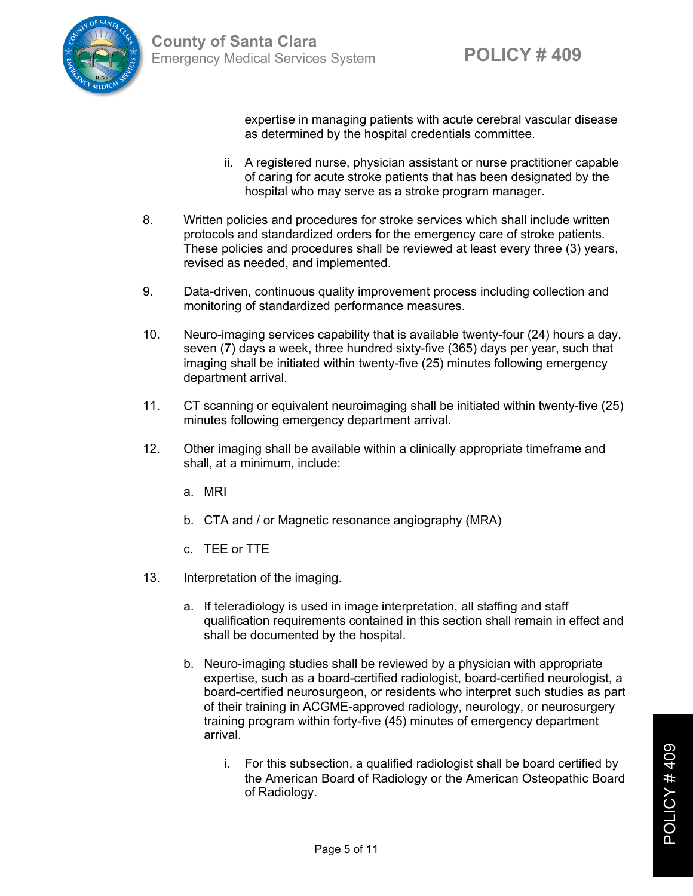

expertise in managing patients with acute cerebral vascular disease as determined by the hospital credentials committee.

- ii. A registered nurse, physician assistant or nurse practitioner capable of caring for acute stroke patients that has been designated by the hospital who may serve as a stroke program manager.
- 8. Written policies and procedures for stroke services which shall include written protocols and standardized orders for the emergency care of stroke patients. These policies and procedures shall be reviewed at least every three (3) years, revised as needed, and implemented.
- 9. Data-driven, continuous quality improvement process including collection and monitoring of standardized performance measures.
- 10. Neuro-imaging services capability that is available twenty-four (24) hours a day, seven (7) days a week, three hundred sixty-five (365) days per year, such that imaging shall be initiated within twenty-five (25) minutes following emergency department arrival.
- 11. CT scanning or equivalent neuroimaging shall be initiated within twenty-five (25) minutes following emergency department arrival.
- 12. Other imaging shall be available within a clinically appropriate timeframe and shall, at a minimum, include:
	- a. MRI
	- b. CTA and / or Magnetic resonance angiography (MRA)
	- c. TEE or TTE
- 13. Interpretation of the imaging.
	- a. If teleradiology is used in image interpretation, all staffing and staff qualification requirements contained in this section shall remain in effect and shall be documented by the hospital.
	- b. Neuro-imaging studies shall be reviewed by a physician with appropriate expertise, such as a board-certified radiologist, board-certified neurologist, a board-certified neurosurgeon, or residents who interpret such studies as part of their training in ACGME-approved radiology, neurology, or neurosurgery training program within forty-five (45) minutes of emergency department arrival.
		- i. For this subsection, a qualified radiologist shall be board certified by the American Board of Radiology or the American Osteopathic Board of Radiology.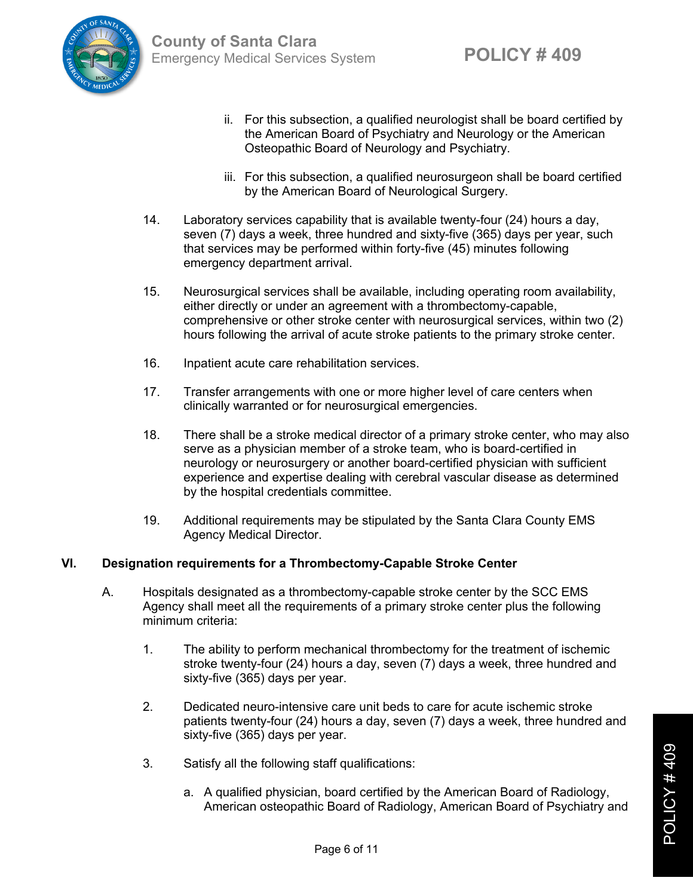

- ii. For this subsection, a qualified neurologist shall be board certified by the American Board of Psychiatry and Neurology or the American Osteopathic Board of Neurology and Psychiatry.
- iii. For this subsection, a qualified neurosurgeon shall be board certified by the American Board of Neurological Surgery.
- 14. Laboratory services capability that is available twenty-four (24) hours a day, seven (7) days a week, three hundred and sixty-five (365) days per year, such that services may be performed within forty-five (45) minutes following emergency department arrival.
- 15. Neurosurgical services shall be available, including operating room availability, either directly or under an agreement with a thrombectomy-capable, comprehensive or other stroke center with neurosurgical services, within two (2) hours following the arrival of acute stroke patients to the primary stroke center.
- 16. Inpatient acute care rehabilitation services.
- 17. Transfer arrangements with one or more higher level of care centers when clinically warranted or for neurosurgical emergencies.
- 18. There shall be a stroke medical director of a primary stroke center, who may also serve as a physician member of a stroke team, who is board-certified in neurology or neurosurgery or another board-certified physician with sufficient experience and expertise dealing with cerebral vascular disease as determined by the hospital credentials committee.
- 19. Additional requirements may be stipulated by the Santa Clara County EMS Agency Medical Director.

## **VI. Designation requirements for a Thrombectomy-Capable Stroke Center**

- A. Hospitals designated as a thrombectomy-capable stroke center by the SCC EMS Agency shall meet all the requirements of a primary stroke center plus the following minimum criteria:
	- 1. The ability to perform mechanical thrombectomy for the treatment of ischemic stroke twenty-four (24) hours a day, seven (7) days a week, three hundred and sixty-five (365) days per year.
	- 2. Dedicated neuro-intensive care unit beds to care for acute ischemic stroke patients twenty-four (24) hours a day, seven (7) days a week, three hundred and sixty-five (365) days per year.
	- 3. Satisfy all the following staff qualifications:
		- a. A qualified physician, board certified by the American Board of Radiology, American osteopathic Board of Radiology, American Board of Psychiatry and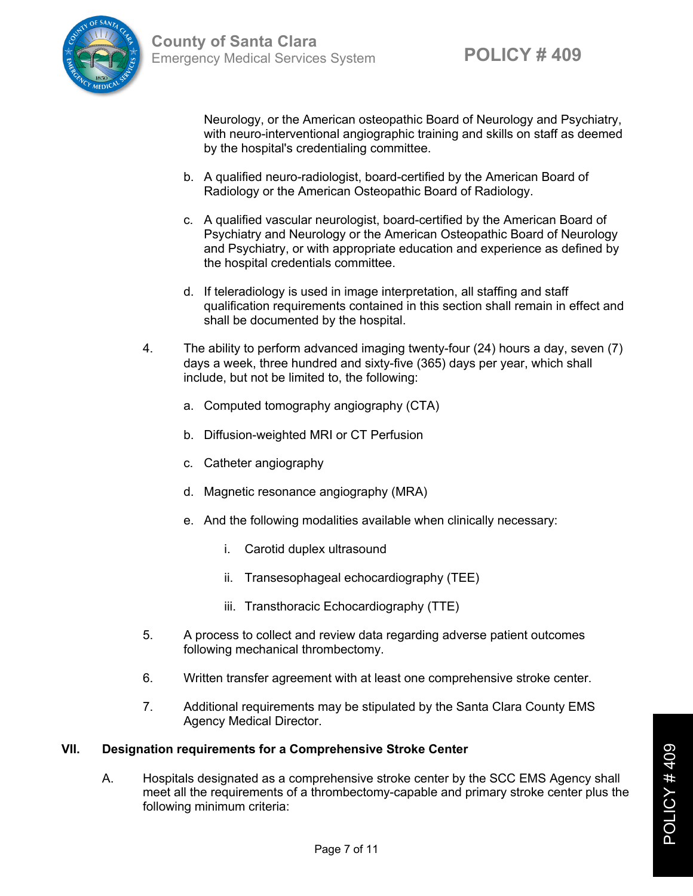

Neurology, or the American osteopathic Board of Neurology and Psychiatry, with neuro-interventional angiographic training and skills on staff as deemed by the hospital's credentialing committee.

- b. A qualified neuro-radiologist, board-certified by the American Board of Radiology or the American Osteopathic Board of Radiology.
- c. A qualified vascular neurologist, board-certified by the American Board of Psychiatry and Neurology or the American Osteopathic Board of Neurology and Psychiatry, or with appropriate education and experience as defined by the hospital credentials committee.
- d. If teleradiology is used in image interpretation, all staffing and staff qualification requirements contained in this section shall remain in effect and shall be documented by the hospital.
- 4. The ability to perform advanced imaging twenty-four (24) hours a day, seven (7) days a week, three hundred and sixty-five (365) days per year, which shall include, but not be limited to, the following:
	- a. Computed tomography angiography (CTA)
	- b. Diffusion-weighted MRI or CT Perfusion
	- c. Catheter angiography
	- d. Magnetic resonance angiography (MRA)
	- e. And the following modalities available when clinically necessary:
		- i. Carotid duplex ultrasound
		- ii. Transesophageal echocardiography (TEE)
		- iii. Transthoracic Echocardiography (TTE)
- 5. A process to collect and review data regarding adverse patient outcomes following mechanical thrombectomy.
- 6. Written transfer agreement with at least one comprehensive stroke center.
- 7. Additional requirements may be stipulated by the Santa Clara County EMS Agency Medical Director.

## **VII. Designation requirements for a Comprehensive Stroke Center**

A. Hospitals designated as a comprehensive stroke center by the SCC EMS Agency shall meet all the requirements of a thrombectomy-capable and primary stroke center plus the following minimum criteria: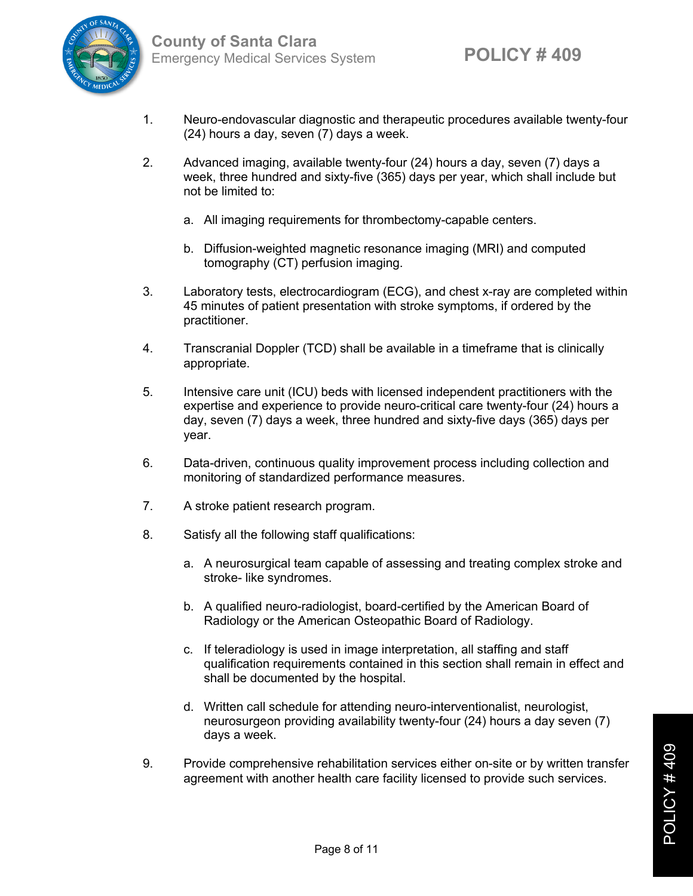

- 1. Neuro-endovascular diagnostic and therapeutic procedures available twenty-four (24) hours a day, seven (7) days a week.
- 2. Advanced imaging, available twenty-four (24) hours a day, seven (7) days a week, three hundred and sixty-five (365) days per year, which shall include but not be limited to:
	- a. All imaging requirements for thrombectomy-capable centers.
	- b. Diffusion-weighted magnetic resonance imaging (MRI) and computed tomography (CT) perfusion imaging.
- 3. Laboratory tests, electrocardiogram (ECG), and chest x-ray are completed within 45 minutes of patient presentation with stroke symptoms, if ordered by the practitioner.
- 4. Transcranial Doppler (TCD) shall be available in a timeframe that is clinically appropriate.
- 5. Intensive care unit (ICU) beds with licensed independent practitioners with the expertise and experience to provide neuro-critical care twenty-four (24) hours a day, seven (7) days a week, three hundred and sixty-five days (365) days per year.
- 6. Data-driven, continuous quality improvement process including collection and monitoring of standardized performance measures.
- 7. A stroke patient research program.
- 8. Satisfy all the following staff qualifications:
	- a. A neurosurgical team capable of assessing and treating complex stroke and stroke- like syndromes.
	- b. A qualified neuro-radiologist, board-certified by the American Board of Radiology or the American Osteopathic Board of Radiology.
	- c. If teleradiology is used in image interpretation, all staffing and staff qualification requirements contained in this section shall remain in effect and shall be documented by the hospital.
	- d. Written call schedule for attending neuro-interventionalist, neurologist, neurosurgeon providing availability twenty-four (24) hours a day seven (7) days a week.
- 9. Provide comprehensive rehabilitation services either on-site or by written transfer agreement with another health care facility licensed to provide such services.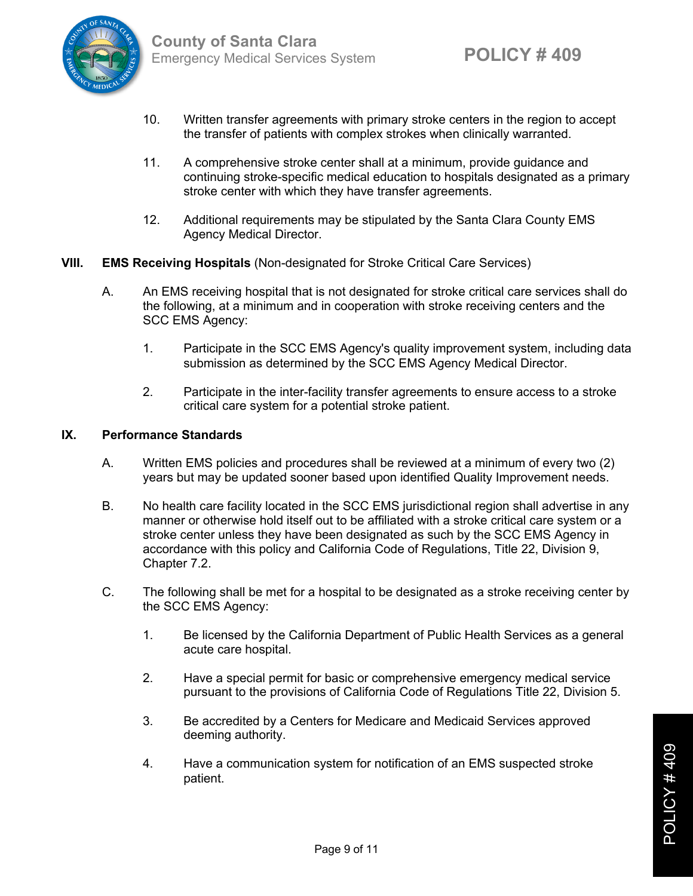

- 10. Written transfer agreements with primary stroke centers in the region to accept the transfer of patients with complex strokes when clinically warranted.
- 11. A comprehensive stroke center shall at a minimum, provide guidance and continuing stroke-specific medical education to hospitals designated as a primary stroke center with which they have transfer agreements.
- 12. Additional requirements may be stipulated by the Santa Clara County EMS Agency Medical Director.
- **VIII. EMS Receiving Hospitals** (Non-designated for Stroke Critical Care Services)
	- A. An EMS receiving hospital that is not designated for stroke critical care services shall do the following, at a minimum and in cooperation with stroke receiving centers and the SCC EMS Agency:
		- 1. Participate in the SCC EMS Agency's quality improvement system, including data submission as determined by the SCC EMS Agency Medical Director.
		- 2. Participate in the inter-facility transfer agreements to ensure access to a stroke critical care system for a potential stroke patient.

#### **IX. Performance Standards**

- A. Written EMS policies and procedures shall be reviewed at a minimum of every two (2) years but may be updated sooner based upon identified Quality Improvement needs.
- B. No health care facility located in the SCC EMS jurisdictional region shall advertise in any manner or otherwise hold itself out to be affiliated with a stroke critical care system or a stroke center unless they have been designated as such by the SCC EMS Agency in accordance with this policy and California Code of Regulations, Title 22, Division 9, Chapter 7.2.
- C. The following shall be met for a hospital to be designated as a stroke receiving center by the SCC EMS Agency:
	- 1. Be licensed by the California Department of Public Health Services as a general acute care hospital.
	- 2. Have a special permit for basic or comprehensive emergency medical service pursuant to the provisions of California Code of Regulations Title 22, Division 5.
	- 3. Be accredited by a Centers for Medicare and Medicaid Services approved deeming authority.
	- 4. Have a communication system for notification of an EMS suspected stroke patient.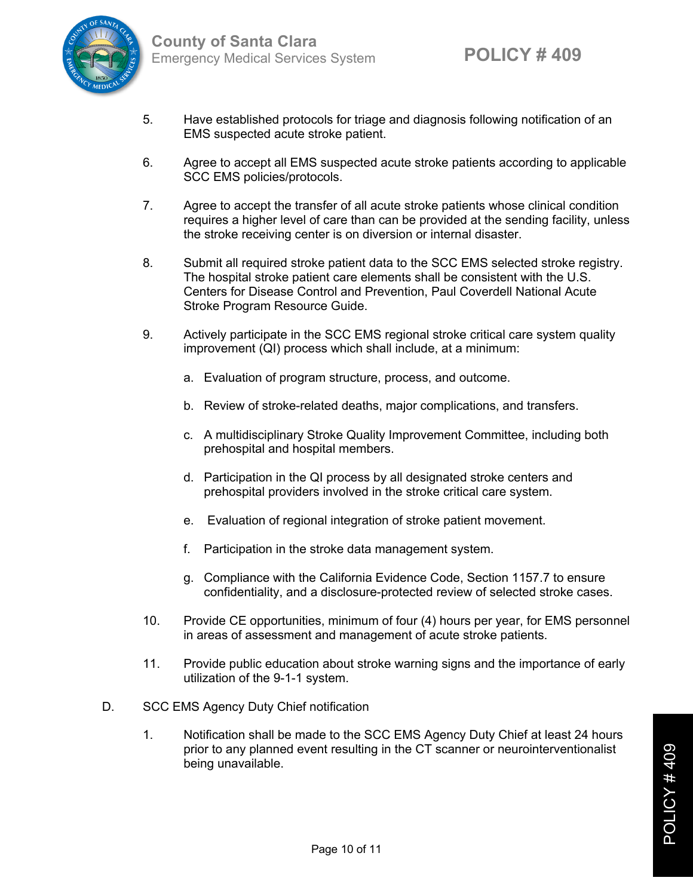

- 5. Have established protocols for triage and diagnosis following notification of an EMS suspected acute stroke patient.
- 6. Agree to accept all EMS suspected acute stroke patients according to applicable SCC EMS policies/protocols.
- 7. Agree to accept the transfer of all acute stroke patients whose clinical condition requires a higher level of care than can be provided at the sending facility, unless the stroke receiving center is on diversion or internal disaster.
- 8. Submit all required stroke patient data to the SCC EMS selected stroke registry. The hospital stroke patient care elements shall be consistent with the U.S. Centers for Disease Control and Prevention, Paul Coverdell National Acute Stroke Program Resource Guide.
- 9. Actively participate in the SCC EMS regional stroke critical care system quality improvement (QI) process which shall include, at a minimum:
	- a. Evaluation of program structure, process, and outcome.
	- b. Review of stroke-related deaths, major complications, and transfers.
	- c. A multidisciplinary Stroke Quality Improvement Committee, including both prehospital and hospital members.
	- d. Participation in the QI process by all designated stroke centers and prehospital providers involved in the stroke critical care system.
	- e. Evaluation of regional integration of stroke patient movement.
	- f. Participation in the stroke data management system.
	- g. Compliance with the California Evidence Code, Section 1157.7 to ensure confidentiality, and a disclosure-protected review of selected stroke cases.
- 10. Provide CE opportunities, minimum of four (4) hours per year, for EMS personnel in areas of assessment and management of acute stroke patients.
- 11. Provide public education about stroke warning signs and the importance of early utilization of the 9-1-1 system.
- D. SCC EMS Agency Duty Chief notification
	- 1. Notification shall be made to the SCC EMS Agency Duty Chief at least 24 hours prior to any planned event resulting in the CT scanner or neurointerventionalist being unavailable.